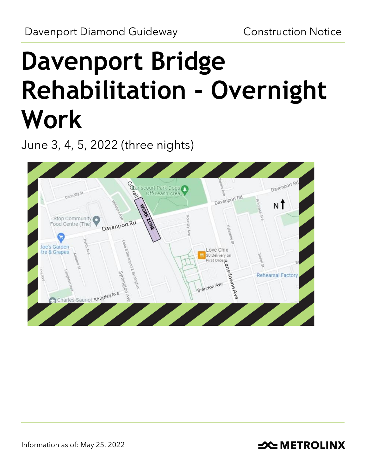# **Davenport Bridge Rehabilitation - Overnight Work**

June 3, 4, 5, 2022 (three nights)